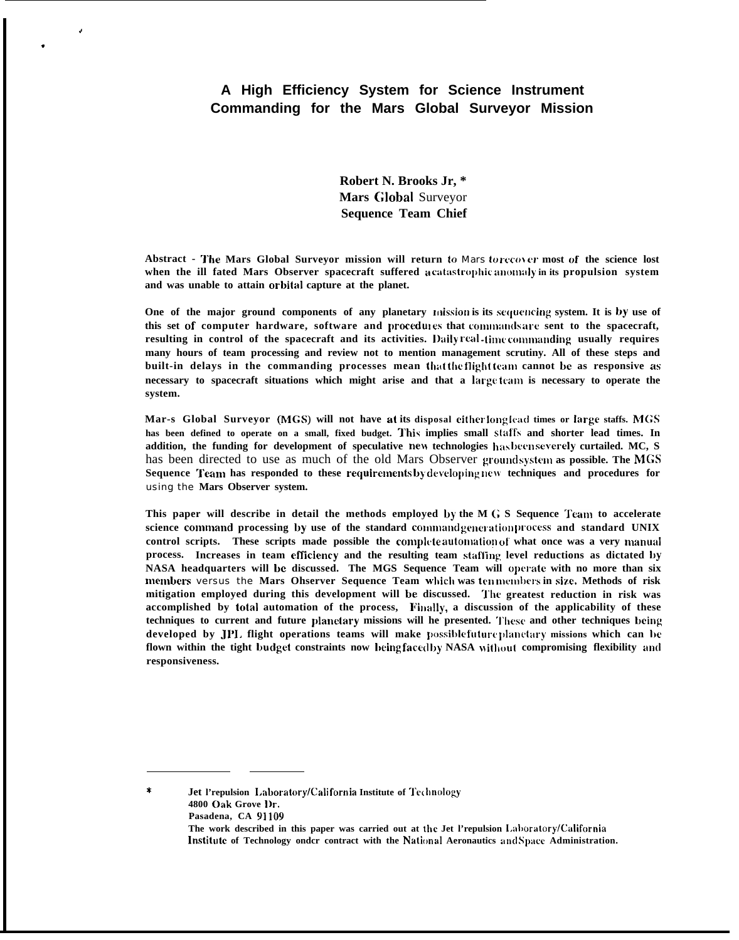# **A High Efficiency System for Science Instrument Commanding for the Mars Global Surveyor Mission**

.!

.

**Robert N. Brooks Jr, \* Mars G]obal** Surveyor **Sequence Team Chief**

**Abstract - 'J'tse Mars Global Surveyor mission will return to** *Mars tu Iwo} U.* **most of the science lost when the ill fated Mars Observer spacecraft suffered a catastrophic anomaly in its propulsion system** and was unable to attain orbital capture at the planet.

**One of the major ground components of any planetary mission is its sequencing system. It is by use of this set of computer hardware, software and procedui es that** conunands arc **sent to the spacecraft, resulting in control of the spacecraft and its activities. ])aily real -tinic conunanding usually requires many hours of team processing and review not to mention management scrutiny. All of these steps and built-in delays in the commanding processes mean that the flight team cannot be as responsive as necessary to spacecraft situations which might arise and that a Iargt: team is necessary to operate the system.**

**Mar-s Global Surveyor (MGS) will not have at its disposal citflcr long Icad times or large staffs. MGS has been defined to operate on a small, fixed budget. 'l'his implies small st:ilfs and shorter lead times. In addition, the funding for development of speculative nm technologies has been severely curtailed. MC, S** has been directed to use as much of the old Mars Observer groundsystem as possible. The MGS **Sequence Team has responded to these requirements by developing new techniques and procedures for** using the **Mars Observer system.**

**This paper will describe in detail the methods employed by the M (; S Sequence 'ream to accelerate science command processing by use of the standard command generation process and standard UNIX** control scripts. These scripts made possible the complete automation of what once was a very manual **process.** Increases in team efficiency and the resulting team staffing level reductions as dictated by **NASA** headquarters will be discussed. The MGS Sequence Team will operate with no more than six **members** versus the **Mars Ohserver Sequence Team whicil was tcn n~cll~l)crs in siz,e. Methods of risk mitigation employed during this development will be discussed. "1'hc greatest reduction in risk was** accomplished by **total automation of the process,** Finally, a discussion of the applicability of these **techniques to current and future planc(ary missions will he presented. 'Ilese and other techniques hcing developed by JPI. flight operations teams will make** possible future planetary missions which can be **flown within the tight budget constraints now Ijeing face(l by NASA <sup>M</sup> itllout compromising flexibility aud responsiveness.**

\* **Jet l'repulsion I.aboratory/Cali fornia Institute of 'Jcx hoology 4800 Oak Grove l)r. Pasadena, CA 91109**

> **The work described in this paper was carried out at the Jet l'repulsion Laboratory/California** Institute of Technology ondcr contract with the National Aeronautics and Space Administration.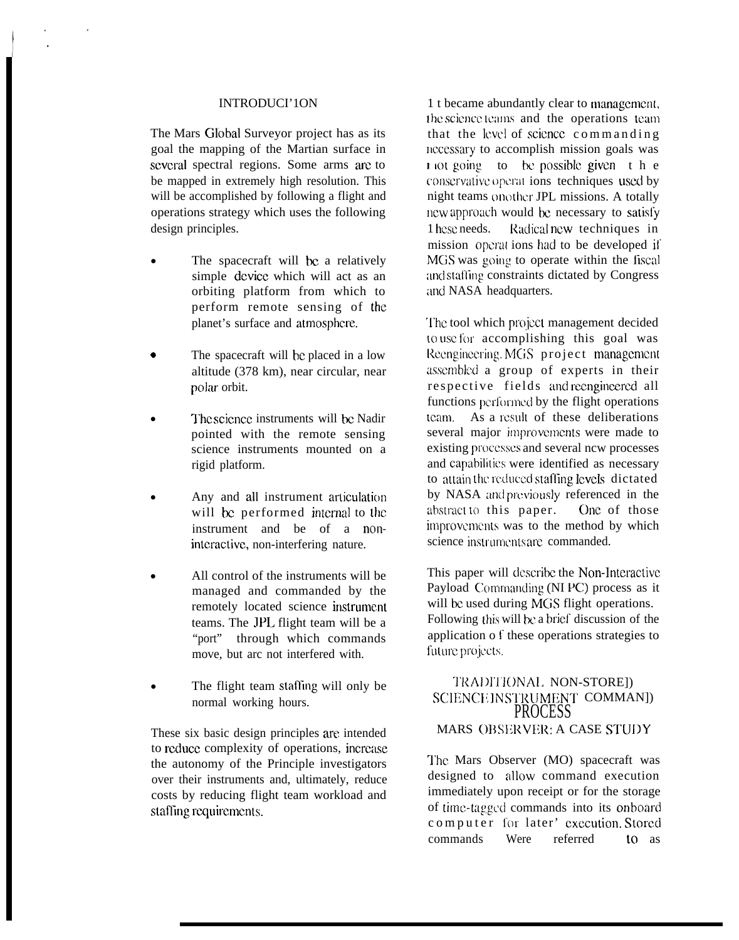#### INTRODUCI'1ON

The Mars Global Surveyor project has as its goal the mapping of the Martian surface in several spectral regions. Some arms are to be mapped in extremely high resolution. This will be accomplished by following a flight and operations strategy which uses the following design principles.

- The spacecraft will be a relatively simple dcvicc which will act as an orbiting platform from which to perform remote sensing of the planet's surface and atmosphere.
- The spacecraft will be placed in a low altitude (378 km), near circular, near polar orbit.
- The science instruments will be Nadir pointed with the remote sensing science instruments mounted on a rigid platform.
- Any and all instrument articulation will be performed internal to the instrument and be of a nonintcractivc, non-interfering nature.
- All control of the instruments will be managed and commanded by the remotely located science instrument teams. The JPL flight team will be a "port" through which commands move, but arc not interfered with.
- The flight team staffing will only be normal working hours.

These six basic design principles are intended to reduce complexity of operations, increase the autonomy of the Principle investigators over their instruments and, ultimately, reduce costs by reducing flight team workload and staffing requirements.

1 t became abundantly clear to management, the science teams and the operations team. that the level of science commanding necessary to accomplish mission goals was  $\frac{1}{1}$  lot going to be possible given the conservative operat ions techniques used by night teams on other JPL missions. A totally ncw approach would bc necessary to satisl'y 1 hese needs. Radical new techniques in mission operations had to be developed if MGS was going to operate within the fiscal and staffing constraints dictated by Congress and NASA headquarters.

The tool which project management decided to use for accomplishing this goal was Reengineering. MGS project management assembled a group of experts in their respective fields and reengineered all functions performed by the flight operations team. As a result of these deliberations several major improvements were made to existing processes and several ncw processes and capabilities were identified as necessary to attain the reduced staffing levels dictated by NASA and previously referenced in the abstract to this paper. One of those improvements was to the method by which science instruments are commanded.

This paper will dcscribc the Non-lntcractivc Payload Commanding (NI PC) process as it will be used during MGS flight operations. Following (his will bc a brief discussion of the application o f these operations strategies to future projects.

# TRADITIONAL NON-STORE]) SCIENCE INSTRUMENT COMMANJ) PROCESS MARS OBSERVER: A CASE STUDY

l'hc Mars Observer (MO) spacecraft was designed to allow command execution immediately upon receipt or for the storage of time-tagged commands into its onboard computer for later' execution. Stored commands Were referred to as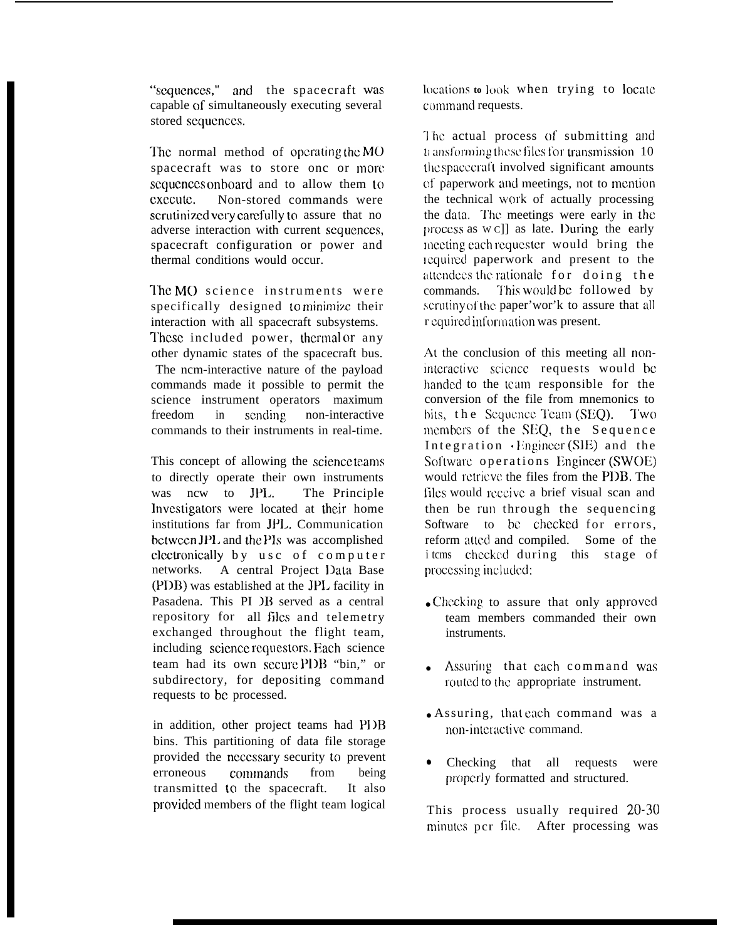"scqucnccs," and the spacecraft WaS capable of simultaneously executing several stored sequences.

The normal method of operating the  $MO$ spacecraft was to store onc or more sequences onboard and to allow them to execute. Non-stored commands were scrutinized very carefully to assure that no adverse interaction with current sequences, spacecraft configuration or power and thermal conditions would occur.

The MO science instruments were specifically designed to minimize their interaction with all spacecraft subsystems. These included power, thermal or any other dynamic states of the spacecraft bus. The ncm-interactive nature of the payload commands made it possible to permit the science instrument operators maximum freedom in sending non-interactive commands to their instruments in real-time.

This concept of allowing the scicncc teams to directly operate their own instruments was ncw to JPL. The Principle Investigators were located at their home institutions far from JP1,. Communication bctwccn JP1, and the Pls was accomplished clectronically by usc of computer networks. A central Project Data Base  $(PI)$ B) was established at the JPL facility in Pasadena. This PI )B served as a central repository for all files and telemetry exchanged throughout the flight team, including science requestors. Each science team had its own sccurc P1)B "bin," or subdirectory, for depositing command requests to bc processed.

in addition, other project teams had PDB bins. This partitioning of data file storage provided the ncccssary security to prevent erroneous comlnands from being transmitted to the spacecraft. It also provided members of the flight team logical locations to look when trying to locate command requests.

The actual process of submitting and tr ansforming these files for transmission 10 the spacecraft involved significant amounts of paperwork and meetings, not to mention the technical work of actually processing the data. The meetings were early in the  $\alpha$  process as  $w$  c]] as late. During the early meeting each requester would bring the lcquired paperwork and present to the attendees the rationale for doing the commands. This would be followed by scrutiny of the paper'wor'k to assure that all r equired information was present.

At the conclusion of this meeting all noninteractivc scicncc requests would bc handed to the team responsible for the conversion of the file from mnemonics to bits, the Scquence Team (SEO). Two members of the SEQ, the Sequence Integration  $\cdot$  Engineer (SIE) and the Software operations Engineer (SWOE) would rctricvc the files from the P1)B. The files would receive a brief visual scan and then be run through the sequencing Software to be checked for errors, reform atted and compiled. Some of the i tcms checked during this stage of processing included:

- Checking to assure that only approved team members commanded their own instruments.
- Assuring that each command was routed to the appropriate instrument.
- Assuring, that each command was a non-interactive command.
- Checking that all requests were properly formatted and structured.

This process usually required **20-30** minutes pcr file. After processing was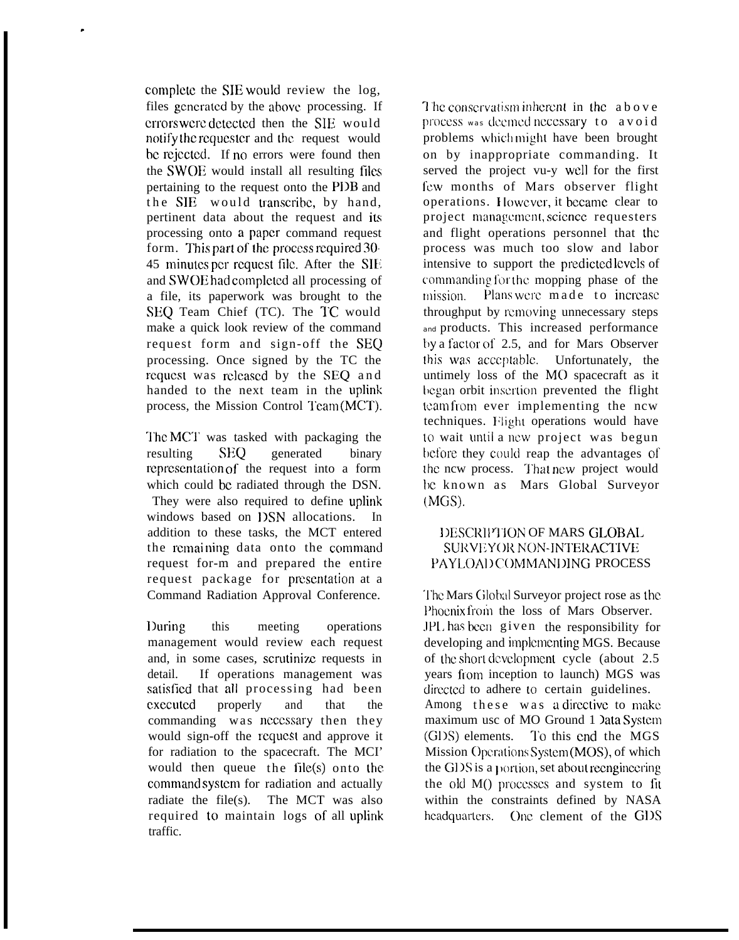complete the SIE would review the log, files gcncratcd by the above. processing. If errors were detected then the SIE would notify the requester and the request would be rejected. If no errors were found then the SWOE would install all resulting files pertaining to the request onto the P1)B and the SIE would transcribe, by hand, pertinent data about the request and its processing onto a paper command request form. This part of the process required  $30$ -45 minutes per request file. After the SIE and SWOE had complctcd all processing of a file, its paperwork was brought to the SEQ Team Chief (TC). The TC would make a quick look review of the command request form and sign-off the SEQ processing. Once signed by the TC the request was released by the SEO and handed to the next team in the uplink process, the Mission Control Team (MCT).

.

'1'hc MC'1' was tasked with packaging the resulting SEO generated binary rcprcscntation of the request into a form which could be radiated through the DSN. They were also required to define uplink windows based on DSN allocations. In addition to these tasks, the MCT entered the remaining data onto the command request for-m and prepared the entire request package for presentation at a Command Radiation Approval Conference.

l)uring this meeting operations management would review each request and, in some cases, scrutinize requests in detail. If operations management was satisticd that all processing had been cxccutcd properly and that the commanding was ncccssary then they would sign-off the request and approve it for radiation to the spacecraft. The MCI' would then queue the file(s) onto the command system for radiation and actually radiate the file(s). The MCT was also required to maintain logs of all uplink traffic.

The conservatism inherent in the above process was deemed necessary to avoid problems which might have been brought on by inappropriate commanding. It served the project vu-y WC1l for the first fcw months of Mars observer flight operations. I lowcvcr, it bccamc clear to project management, science requesters. and flight operations personnel that the process was much too slow and labor intensive to support the prcdictcd Ievcls of commanding for the mopping phase of the mission. Plans were made to increase throughput by removing unnecessary steps and products. This increased performance  $by a factor of 2.5, and for Mars Observatory$ this was acceptable. Unfortunately, the untimely loss of the MO spacecraft as it began orbit insertion prevented the flight [cam from ever implementing the ncw techniques. Flight operations would have to wait until a new project was begun before they could reap the advantages of the ncw process. That new project would be known as Mars Global Surveyor (MGS).

### <sup>1</sup> )ESCRIIV'ION OF MARS GI.OBAI> SURVEYOR NON-INTERACTIVE PAYLOAD COMMANDING PROCESS

The Mars Global Surveyor project rose as the Phoenix from the loss of Mars Observer. .IP1, has bccrl given the responsibility for developing and implementing MGS. Because of the short dcvclopmcnt cycle (about 2.5 years from inception to launch) MGS was directed to adhere to certain guidelines. Among these was a directive to make maximum usc of MO Ground 1 )ata Systcm (G1)S) elements. 1'o this cnd the MGS Mission Operations System (MOS), of which the GDS is a portion, set about reengineering the old  $M()$  processes and system to fit within the constraints defined by NASA headquarters. One clement of the GDS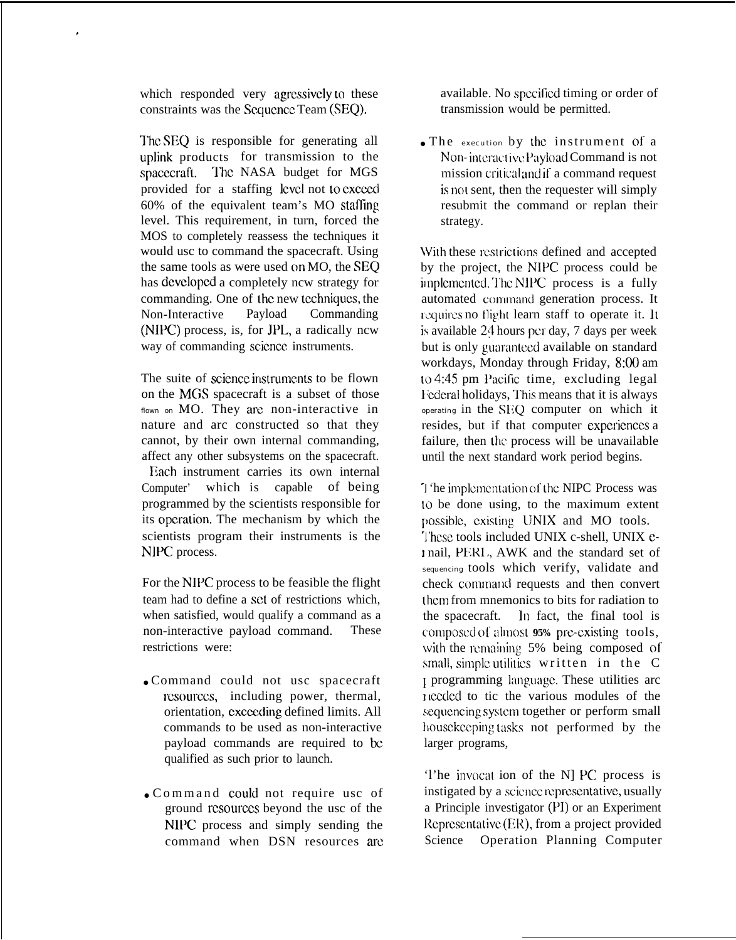which responded very agressively to these constraints was the Scquence Team (SEO).

,

The SEQ is responsible for generating all uplink products for transmission to the spacecraft. The NASA budget for MGS provided for a staffing level not to exceed  $60\%$  of the equivalent team's MO staffing level. This requirement, in turn, forced the MOS to completely reassess the techniques it would usc to command the spacecraft. Using the same tools as were used on MO, the SEQ has dcvclopcd a completely ncw strategy for commanding. One of Ihc new tcchniqucs, the Non-Interactive Payload Commanding  $(NIPC)$  process, is, for JPL, a radically ncw way of commanding scicncc instruments.

The suite of science instruments to be flown on the MGS spacecraft is a subset of those flown on MO. They are non-interactive in nature and arc constructed so that they cannot, by their own internal commanding, affect any other subsystems on the spacecraft. Each instrument carries its own internal Computer' which is capable of being programmed by the scientists responsible for its operation. The mechanism by which the scientists program their instruments is the NIPC process.

For the NIPC process to be feasible the flight team had to define a set of restrictions which, when satisfied, would qualify a command as a non-interactive payload command. These restrictions were:

- Command could not usc spacecraft rcsourccs, including power, thermal, orientation, cxcceding defined limits. All commands to be used as non-interactive payload commands are required to be qualified as such prior to launch.
- Command could not require usc of ground rcsourccs beyond the usc of the NIPC process and simply sending the command when DSN resources arc

available. No spccificd timing or order of transmission would be permitted.

● The execution by Lhc instrument of a Non-interactive Payload Command is not mission critical and if a command request is not sent, then the requester will simply resubmit the command or replan their strategy.

With these restrictions defined and accepted by the project, the NIPC process could be implemented. The NIPC process is a fully automated command generation process. It requires no flight learn staff to operate it. It is available 24 hours per day, 7 days per week but is only guaranteed available on standard workdays, Monday through Friday, 8:00 am to  $4:45$  pm Pacific time, excluding legal <sup>1</sup> 'cderal holidays, l'his means that it is always operating in the SEO computer on which it resides, but if that computer experiences a failure, then the process will be unavailable until the next standard work period begins.

"J 'he implcrncntation of the NIPC Process was to be done using, to the maximum extent possible, existing UNIX and MO tools. 'J'hcsc tools included UNIX c-shell, UNIX e- I nail, PERL, AWK and the standard set of sequencing tools which verify, validate and check command requests and then convert thcm from mnemonics to bits for radiation to the spacecraft. ]n fact, the final tool is composed 0[ ahnosl **95%** prc-existing tools, with the remaining 5% being composed of small, simple utilities written in the  $C$ 1 programming kmguagc. These utilities arc ] Iccded to tic the various modules of the sequencing system together or perform small house keeping tasks not performed by the larger programs,

'l'he invocat ion of the N] PC process is instigated by a science representative, usually a Principle investigator (PI) or an Experiment Representative (ER), from a project provided Science Operation Planning Computer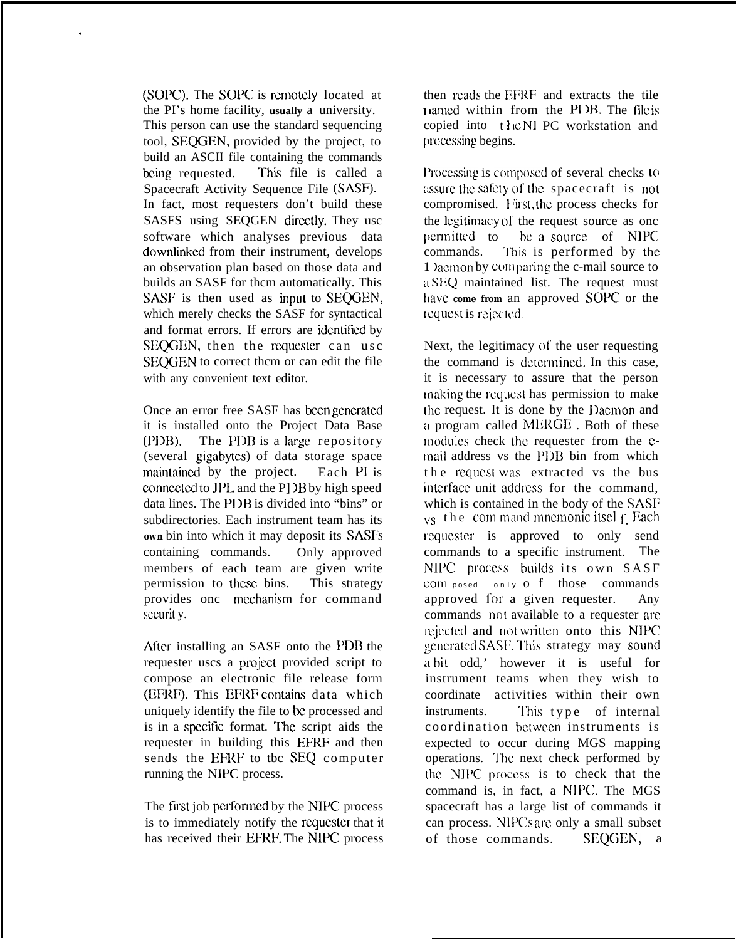(SOPC). The SOPC is remotely located at the PI's home facility, **usually** a university. This person can use the standard sequencing tool, SEQGEN, provided by the project, to build an ASCII file containing the commands being requested. This file is called a Spacecraft Activity Sequence File (SASF). In fact, most requesters don't build these SASFS using SEQGEN directly. They usc software which analyses previous data downlinkcd from their instrument, develops an observation plan based on those data and builds an SASF for thcm automatically. This SASF is then used as input to SEQGEN, which merely checks the SASF for syntactical and format errors. If errors are identified by SEQGEN, then the requester can usc SEOGEN to correct them or can edit the file with any convenient text editor.

.

Once an error free SASF has been generated it is installed onto the Project Data Base  $(PIDB)$ . The PDB is a large repository (several gigabytcs) of data storage space maintained by the project. Each PI is connected to  $JPL$  and the P]  $/B$  by high speed data lines. The PI IB is divided into "bins" or subdirectories. Each instrument team has its **own** bin into which it may deposit its SASFS containing commands. Only approved members of each team are given write permission to these bins. This strategy provides onc mechanism for command sccurit y.

After installing an SASF onto the PDB the requester uscs a projezt provided script to compose an electronic file release form (EFRF). This EFRF contains data which uniquely identify the file to be processed and is in a specific format. The script aids the requester in building this EFRF and then sends the EFRF to tbc SEQ computer running the NIPC process.

The first job performed by the NIPC process is to immediately notify the requester that it has received their EFRF. The NIPC process then reads the EFRF and extracts the tile <sup>I</sup> Iamcd within from the PI JB. The **lIIc k** copied into the N1 PC workstation and processing begins.

Processing is composed of several checks to assure the safety of the spacecraft is not compromised. First, the process checks for the legitimacy of the request source as onc permitted to be a source of NIPC commands. This is performed by the 1 ) acmon by comparing the c-mail source to <sup>u</sup> SF@ maintained list. The request must have come from an approved SOPC or the Icqucst is rcjcc[cd.

Next, the legitimacy of the user requesting the command is dctcrmincd. In this case, it is necessary to assure that the person lnaking the rcqucs( has permission to make Ihe request. It is done by the Dacmon and a program called MERGE. Both of these modules check the requester from the email address vs the PDB bin from which the request was extracted vs the bus interface unit address for the command, which is contained in the body of the SASF  $_{\text{VS}}$  the com mand mnemonic itsel f. Each requester is approved to only send commands to a specific instrument. The NIPC process builds its own SASF  $com$  posed only  $o$   $f$  those commands approved for a given requester. Any commands not available to a requester are rejected and not written onto this NIPC ~>cncr:lt~~d SASI~. "1'his strategy may **sound .> a** bil odd,' however it is useful for instrument teams when they wish to coordinate activities within their own instruments. This type of internal coordination bctwccn instruments is expected to occur during MGS mapping operations. '1'hc next check performed by the NIPC process is to check that the command is, in fact, a NIPC. The MGS spacecraft has a large list of commands it can process. NIPCs are only a small subset of those commands. SEQGEN, a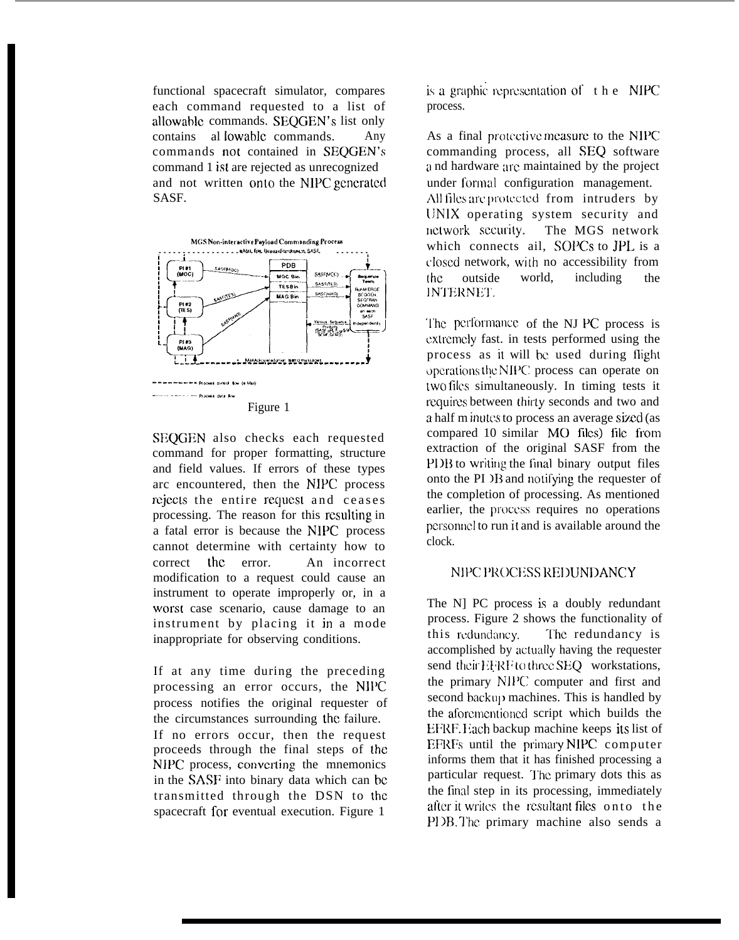functional spacecraft simulator, compares each command requested to a list of allowable commands. SEQGEN's list only contains al Iowablc commands. Any commands not contained in SEQGEN'S command 1 ist are rejected as unrecognized and not written onto the NIPC generated SASF.



SEQGEN also checks each requested command for proper formatting, structure and field values. If errors of these types arc encountered, then the NIPC process rejects the entire request and ceases processing. The reason for this resulting in a fatal error is because the NIPC process cannot determine with certainty how to correct the error. An incorrect modification to a request could cause an instrument to operate improperly or, in a worst case scenario, cause damage to an instrument by placing it in a mode inappropriate for observing conditions.

If at any time during the preceding processing an error occurs, the NII'C process notifies the original requester of the circumstances surrounding the failure. If no errors occur, then the request proceeds through the final steps of the NIPC process, converting the mnemonics in the SASF into binary data which can bc transmitted through the DSN to the spacecraft for eventual execution. Figure 1

is a graphic representation of  $t$  h e NIPC process.

As a final protective measure to the NIPC commanding process, all SEQ software :) nd hardware arc maintained by the project under formal configuration management. All files are protected from intruders by [INIX operating system security and network security. The MGS network which connects ail, SOPCs to JPL is a (losed network, with no accessibility from [hc outside world, including the INTERNET.

The performance of the NJ PC process is cxtrcmcly fast. in tests performed using the process as it will be used during flight operations the NIPC process can operate on [wo files simultaneously. In timing tests it requires between thirty seconds and two and a half m inutes to process an average sized (as compared 10 similar MO files) file from extraction of the original SASF from the PI IB to writing the final binary output files onto the PI  $\overline{AB}$  and notifying the requester of the completion of processing. As mentioned earlier, the process requires no operations personnel to run it and is available around the clock.

# NIPC PROCESS REDUNDANCY

The N] PC process is a doubly redundant process. Figure 2 shows the functionality of this redundancy. The redundancy is accomplished by actually having the requester send their EFRF to three SEQ workstations, the primary NIPC computer and first and second backup machines. This is handled by the aforementioned script which builds the EFRF. Lach backup machine keeps its list of EFRFs until the puimary NIPC computer informs them that it has finished processing a particular request. The primary dots this as the find step in its processing, immediately after it writes the resultant files onto the PDB. The primary machine also sends a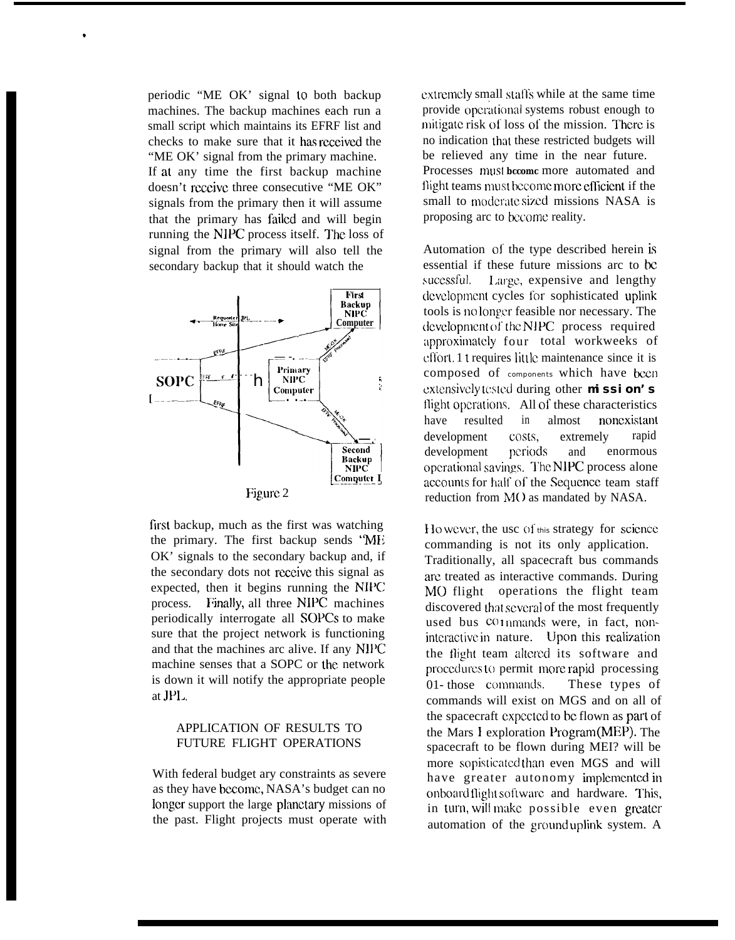periodic "ME OK' signal to both backup machines. The backup machines each run a small script which maintains its EFRF list and checks to make sure that it has received the "ME OK' signal from the primary machine. If at any time the first backup machine doesn't receive three consecutive "ME OK" signals from the primary then it will assume that the primary has failed and will begin running the NIPC process itself. The loss of signal from the primary will also tell the secondary backup that it should watch the



first backup, much as the first was watching the primary. The first backup sends "MI; OK' signals to the secondary backup and, if the secondary dots not receive this signal as expected, then it begins running the NH'C process. Finally, all three NIPC machines periodically interrogate all SOPCS to make sure that the project network is functioning and that the machines arc alive. If any N1l'C machine senses that a SOPC or the network is down it will notify the appropriate people at  $JPL$ .

### APPLICATION OF RESULTS TO FUTURE FLIGHT OPERATIONS

With federal budget ary constraints as severe as they have bccomc, NASA's budget can no Iongcr support the large phmctary missions of the past. Flight projects must operate with extremely small staffs while at the same time provide operational systems robust enough to mitigate risk of loss of the mission. There is no indication that these restricted budgets will be relieved any time in the near future. Processes must bccome more automated and flight teams must become more efficient if the small to moderate sized missions NASA is proposing arc to become reality.

Automation of the type described herein is essential if these future missions arc to bc sucessful. Large, expensive and lengthy development cycles for sophisticated uplink tools is no longer feasible nor necessary. The development of the NIPC process required approximately four total workweeks of cffort. 1 t requires little maintenance since it is composed of components which have been extensively tested during other mission's flight operations. All of these characteristics have resulted in almost noncxistant development costs, extremely rapid development periods and enormous operational savings. The NIPC process alone accounts for half of the Sequence team staff reduction from M() as mandated by NASA.

 $H_0$  wever, the usc of this strategy for science commanding is not its only application. Traditionally, all spacecraft bus commands arc treated as interactive commands. During MO flight operations the flight team discovered that several of the most frequently used bus  $co$  inmands were, in fact, noninteractive in nature. Upon this realization the flight team altered its software and procccluws to permit more rapid processing 01- those commands. These types of commands will exist on MGS and on all of the spacecraft expected to be flown as part of the Mars I exploration l'rogram (MEP). The spacecraft to be flown during MEI? will be more sopisticated than even MGS and will have greater autonomy implemented in onboard flight software, and hardware. This, in turn, will make possible even greater automation of the ground uplink system. A